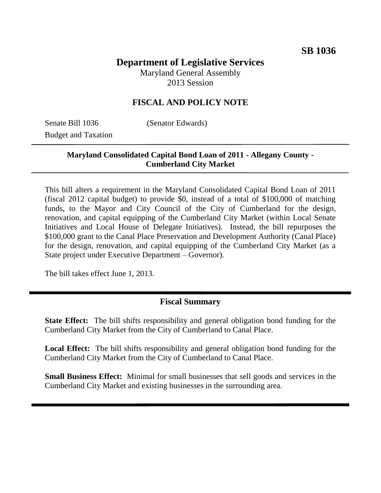# **Department of Legislative Services**

Maryland General Assembly 2013 Session

# **FISCAL AND POLICY NOTE**

Senate Bill 1036 (Senator Edwards) Budget and Taxation

# **Maryland Consolidated Capital Bond Loan of 2011 - Allegany County - Cumberland City Market**

This bill alters a requirement in the Maryland Consolidated Capital Bond Loan of 2011 (fiscal 2012 capital budget) to provide \$0, instead of a total of \$100,000 of matching funds, to the Mayor and City Council of the City of Cumberland for the design, renovation, and capital equipping of the Cumberland City Market (within Local Senate Initiatives and Local House of Delegate Initiatives). Instead, the bill repurposes the \$100,000 grant to the Canal Place Preservation and Development Authority (Canal Place) for the design, renovation, and capital equipping of the Cumberland City Market (as a State project under Executive Department – Governor).

The bill takes effect June 1, 2013.

#### **Fiscal Summary**

**State Effect:** The bill shifts responsibility and general obligation bond funding for the Cumberland City Market from the City of Cumberland to Canal Place.

**Local Effect:** The bill shifts responsibility and general obligation bond funding for the Cumberland City Market from the City of Cumberland to Canal Place.

**Small Business Effect:** Minimal for small businesses that sell goods and services in the Cumberland City Market and existing businesses in the surrounding area.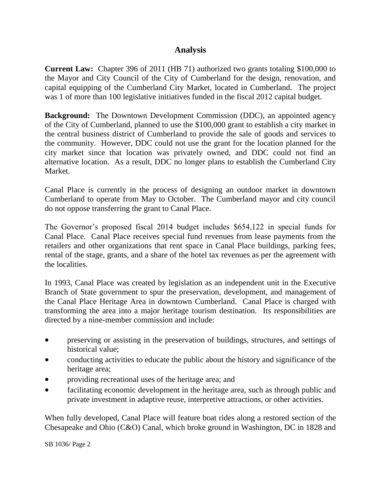# **Analysis**

**Current Law:** Chapter 396 of 2011 (HB 71) authorized two grants totaling \$100,000 to the Mayor and City Council of the City of Cumberland for the design, renovation, and capital equipping of the Cumberland City Market, located in Cumberland. The project was 1 of more than 100 legislative initiatives funded in the fiscal 2012 capital budget.

**Background:** The Downtown Development Commission (DDC), an appointed agency of the City of Cumberland, planned to use the \$100,000 grant to establish a city market in the central business district of Cumberland to provide the sale of goods and services to the community. However, DDC could not use the grant for the location planned for the city market since that location was privately owned, and DDC could not find an alternative location. As a result, DDC no longer plans to establish the Cumberland City Market.

Canal Place is currently in the process of designing an outdoor market in downtown Cumberland to operate from May to October. The Cumberland mayor and city council do not oppose transferring the grant to Canal Place.

The Governor's proposed fiscal 2014 budget includes \$654,122 in special funds for Canal Place. Canal Place receives special fund revenues from lease payments from the retailers and other organizations that rent space in Canal Place buildings, parking fees, rental of the stage, grants, and a share of the hotel tax revenues as per the agreement with the localities.

In 1993, Canal Place was created by legislation as an independent unit in the Executive Branch of State government to spur the preservation, development, and management of the Canal Place Heritage Area in downtown Cumberland. Canal Place is charged with transforming the area into a major heritage tourism destination. Its responsibilities are directed by a nine-member commission and include:

- preserving or assisting in the preservation of buildings, structures, and settings of historical value;
- conducting activities to educate the public about the history and significance of the heritage area;
- providing recreational uses of the heritage area; and
- facilitating economic development in the heritage area, such as through public and private investment in adaptive reuse, interpretive attractions, or other activities.

When fully developed, Canal Place will feature boat rides along a restored section of the Chesapeake and Ohio (C&O) Canal, which broke ground in Washington, DC in 1828 and